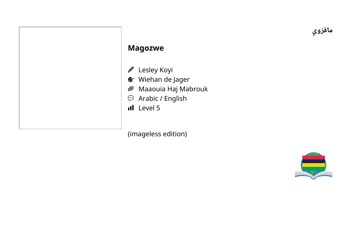**ي و قز ما**

## **M a g o z w e**

- Ø L e sle y K o yi
- Wiehan de Jager
- 嚕 Maaouia Haj Mabrouk
- Arabic / English
- L e v el 5

(im a g ele s s e ditio n )

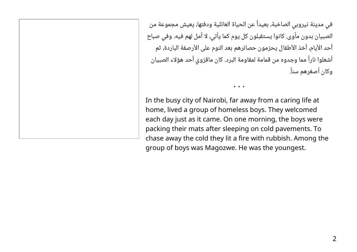في مدينة نيروبي الصاخبة، بعيداً عن الحياة العائلية ودفئها، يعيش مجموعة من الصبيان بدون مأوى. كانوا يستقبلون كل يوم كما يأتي، لا أمل لهم فيه. وفي صباح أحد الأيام، أخذ الأطفال يحزمون حصائرهم بعد النوم على الأرصفة الباردة، ثم أشعلوا ناراً مما وجدوه من قمامة لمقاومة البرد. كان ماقزوي أحد هؤلاء الصبيان وكان أصغرهم سناً.

• • •

In the busy city of Nairobi, far away from a caring life at home, lived a group of homeless boys. They welcomed each day just as it came. On one morning, the boys were packing their mats after sleeping on cold pavements. To chase away the cold they lit a fire with rubbish. Among the group of boys was Magozwe. He was the youngest.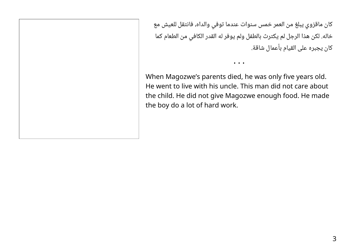كان ماقزوي يبلغ من العمر خمس سنوات عندما توفي والداه، فانتقل للعيش مع خاله. لكن هذا الرجل لم يكترث بالطفل ولم يوفر له القدر الكافي من الطعام كما كان يجبره على القيام بأعمال شاقة.

When Magozwe's parents died, he was only five years old. He went to live with his uncle. This man did not care about the child. He did not give Magozwe enough food. He made the boy do a lot of hard work.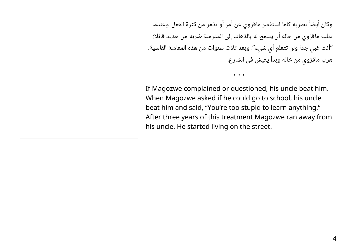وكان أيضاً يضربه كلما استفسر ماقزوي عن أمر أو تذمر من كثرة العمل. وعندما طلب ماقزوي من خاله أن يسمح له بالذهاب إلى المدرسة ضربه من جديد قائلا: "أنت غبي جدا ولن تتعلم أي شيء". وبعد ثلاث سنوات من هذه المعاملة القاسية، هرب ماقزوي من خاله وبدأ يعيش في الشارع.

If Magozwe complained or questioned, his uncle beat him. When Magozwe asked if he could go to school, his uncle beat him and said, "You're too stupid to learn anything." After three years of this treatment Magozwe ran away from his uncle. He started living on the street.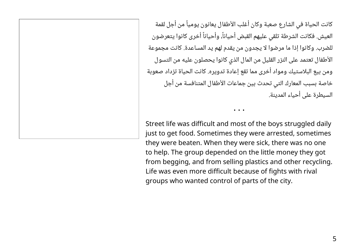كانت الحياة في الشارع صعبة وكان أغلب الأطفال يعانون يومياً من أجل لقمة العيش. فكانت الشرطة تلقي عليهم القبض أحياناً، وأحياناً أخرى كانوا يتعرضون للضرب. وكانوا إذا ما مرضوا لا يجدون من يقدم لهم يد المساعدة. كانت مجموعة الأطفال تعتمد على النزر القليل من المال الذي كانوا يحصلون عليه من التسول ومن بيع البلاستيك ومواد أخرى مما تقع إعادة تدويره. كانت الحياة تزداد صعوبة خاصة بسبب المعارك التي تحدث بين جماعات الأطفال المتنافسة من أجل السيطرة على أحياء المدينة.

Street life was difficult and most of the boys struggled daily just to get food. Sometimes they were arrested, sometimes they were beaten. When they were sick, there was no one to help. The group depended on the little money they got from begging, and from selling plastics and other recycling. Life was even more difficult because of fights with rival groups who wanted control of parts of the city.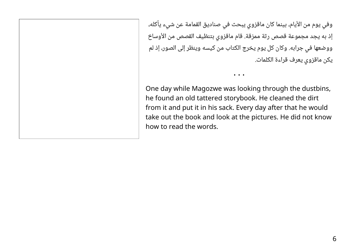وفي يوم من الأيام، بينما كان ماقزوي يبحث في صناديق القمامة عن شيء يأكله، إذ به يجد مجموعة قصص رثة ممزقة. قام ماقزوي بتنظيف القصص من الأوساخ ووضعها في جرابه. وكان كل يوم يخرج الكتاب من كيسه وينظر إلى الصور، إذ لم يكن ماقزوي يعرف قراءة الكلمات.

One day while Magozwe was looking through the dustbins, he found an old tattered storybook. He cleaned the dirt from it and put it in his sack. Every day after that he would take out the book and look at the pictures. He did not know how to read the words.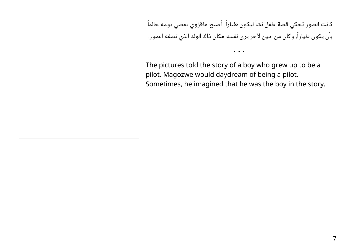كانت الصور تحكي قصة طفل نشأ ليكون طياراً. أصبح ماقزوي يمضي يومه حالماً بأن يكون طياراً، وكان من حين لآخر يرى نفسه مكان ذاك الولد الذي تصفه الصور.

• • •

The pictures told the story of a boy who grew up to be a pilot. Magozwe would daydream of being a pilot. Sometimes, he imagined that he was the boy in the story.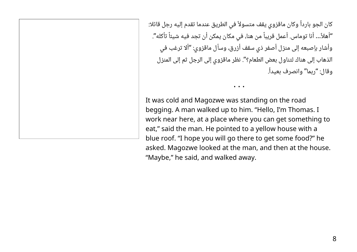كان الجو بارداً وكان ماقزوي يقف متسولاً في الطريق عندما تقدم إليه رجل قائلا: "أهلاً… أنا توماس. أعمل قريباً من هنا، في مكان يمكن أن تجد فيه شيئاً تأكله". وأشار بإصبعه إلى منزل أصفر ذي سقف أزرق، وسأل ماقزوي: "ألا ترغب في الذهاب إلى هناك لتناول بعض الطعام؟". نظر ماقزوي إلى الرجل ثم إلى المنزل وقال: "ربما" وانصرف بعيداً.

• • •

It was cold and Magozwe was standing on the road begging. A man walked up to him. "Hello, I'm Thomas. I work near here, at a place where you can get something to eat," said the man. He pointed to a yellow house with a blue roof. "I hope you will go there to get some food?" he asked. Magozwe looked at the man, and then at the house. "Maybe," he said, and walked away.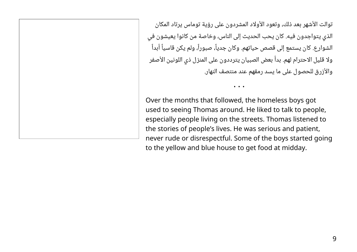توالت الأشهر بعد ذلك، وتعود الأولاد المشردون على رؤية توماس يرتاد المكان الذي يتواجدون فيه. كان يحب الحديث إلى الناس، وخاصة من كانوا يعيشون في الشوارع. كان يستمع إلى قصص حياتهم. وكان جدياً، صبوراً، ولم يكن قاسياً أبداً ولا قليل الاحترام لهم. بدأ بعض الصبيان يترددون على المنزل ذي اللونين الأصفر والأزرق للحصول على ما يسد رمقهم عند منتصف النهار.

Over the months that followed, the homeless boys got used to seeing Thomas around. He liked to talk to people, especially people living on the streets. Thomas listened to the stories of people's lives. He was serious and patient, never rude or disrespectful. Some of the boys started going to the yellow and blue house to get food at midday.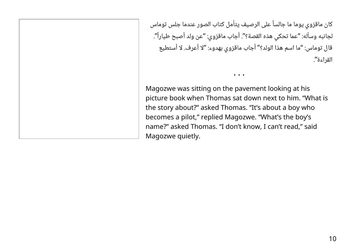كان ماقزوي يوما ما جالساً على الرصيف يتأمل كتاب الصور عندما جلس توماس لجانبه وسأله: "عما تحكي هذه القصة؟". أجاب ماقزوي: "عن ولد أصبح طياراً". قال توماس: "ما اسم هذا الولد؟" أجاب ماقزوي بهدوء: "لا أعرف. لا أستطيع القراءة".

• • •

Magozwe was sitting on the pavement looking at his picture book when Thomas sat down next to him. "What is the story about?" asked Thomas. "It's about a boy who becomes a pilot," replied Magozwe. "What's the boy's name?" asked Thomas. "I don't know, I can't read," said Magozwe quietly.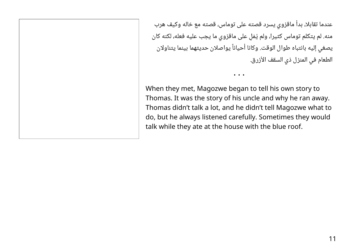عندما تقابلا، بدأ ماقزوي يسرد قصته على توماس، قصته مع خاله وكيف هرب منه. لم يتكلم توماس كثيرا، ولم يُمْلِ على ماقزوي ما يجب عليه فعله، لكنه كان يصغي إليه بانتباه طوال الوقت. وكانا أحياناً يواصلان حديثهما بينما يتناولان الطعام في المنزل ذي السقف الأزرق.

When they met, Magozwe began to tell his own story to Thomas. It was the story of his uncle and why he ran away. Thomas didn't talk a lot, and he didn't tell Magozwe what to do, but he always listened carefully. Sometimes they would talk while they ate at the house with the blue roof.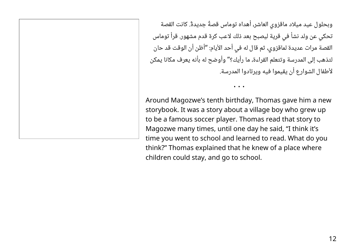وبحلول عيد ميلاد ماقزوي العاشر، أهداه توماس قصًة جديد ًة. كانت القصة تحكي عن ولد نشأ في قرية ليصبح بعد ذلك لاعب كرة قدم مشهور. قرأ توماس القصة مرات عديدة لماقزوي، ثم قال له في أحد الأيام: "أظن أن الوقت قد حان لتذهب إلى المدرسة وتتعلم القراءة، ما رأيك؟" وأوضح له بأنه يعرف مكانا يمكن لأطفال الشوارع أن يقيموا فيه ويرتادوا المدرسة.

Around Magozwe's tenth birthday, Thomas gave him a new storybook. It was a story about a village boy who grew up to be a famous soccer player. Thomas read that story to Magozwe many times, until one day he said, "I think it's time you went to school and learned to read. What do you think?" Thomas explained that he knew of a place where children could stay, and go to school.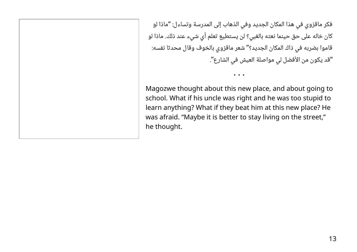فكر ماقزوي في هذا المكان الجديد وفي الذهاب إلى المدرسة وتساءل: "ماذا لو كان خاله على حق حينما نعته بالغبي؟ لن يستطيع تعلم أي شيء عند ذلك. ماذا لو قاموا بضربه في ذاك المكان الجديد؟" شعر ماقزوي بالخوف وقال محدثا نفسه: "قد يكون من الأفضل لي مواصلة العيش في الشارع".

Magozwe thought about this new place, and about going to school. What if his uncle was right and he was too stupid to learn anything? What if they beat him at this new place? He was afraid. "Maybe it is better to stay living on the street," he thought.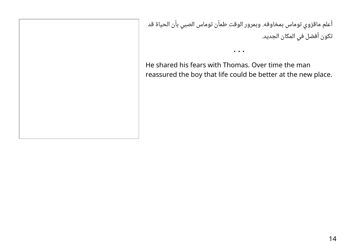أعلم ماقزوي توماس بمخاوفه. وبمرور الوقت طمأن توماس الصبي بأن الحياة قد تكون أفضل في المكان الجديد.

He shared his fears with Thomas. Over time the man reassured the boy that life could be better at the new place.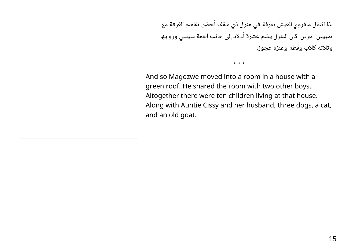لذا انتقل ماقزوي للعيش بغرفة في منزل ذي سقف أخضر. تقاسم الغرفة مع صبيين آخرين. كان المنزل يضم عشرة أولاد إلى جانب العمة سيسي وزوجها وثلاثة كلاب وقطة وعنزة عجوز.

And so Magozwe moved into a room in a house with a green roof. He shared the room with two other boys. Altogether there were ten children living at that house. Along with Auntie Cissy and her husband, three dogs, a cat, and an old goat.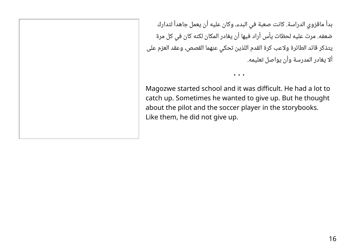بدأ ماقزوي الدراسة. كانت صعبة في البدء، وكان عليه أن يعمل جاهداً لتدارك ضعفه. مرت عليه لحظات يأس أراد فيها أن يغادر المكان لكنه كان في كل مرة يتذكر قائد الطائرة ولاعب كرة القدم اللذين تحكي عنهما القصص، وعقد العزم على ألا يغادر المدرسة وأن يواصل تعليمه.

Magozwe started school and it was difficult. He had a lot to catch up. Sometimes he wanted to give up. But he thought about the pilot and the soccer player in the storybooks. Like them, he did not give up.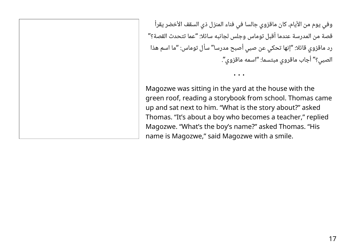وفي يوم من الأيام، كان ماقزوي جالسا في فناء المنزل ذي السقف الأخضر يقرأ قصة من المدرسة عندما أقبل توماس وجلس لجانبه سائلا: "عما تتحدث القصة؟" رد ماقزوي قائلا: "إنها تحكي عن صبي أصبح مدرسا" سأل توماس: "ما اسم هذا الصبي؟" أجاب ماقروي مبتسما: "اسمه ماقزوي".

• • •

Magozwe was sitting in the yard at the house with the green roof, reading a storybook from school. Thomas came up and sat next to him. "What is the story about?" asked Thomas. "It's about a boy who becomes a teacher," replied Magozwe. "What's the boy's name?" asked Thomas. "His name is Magozwe," said Magozwe with a smile.